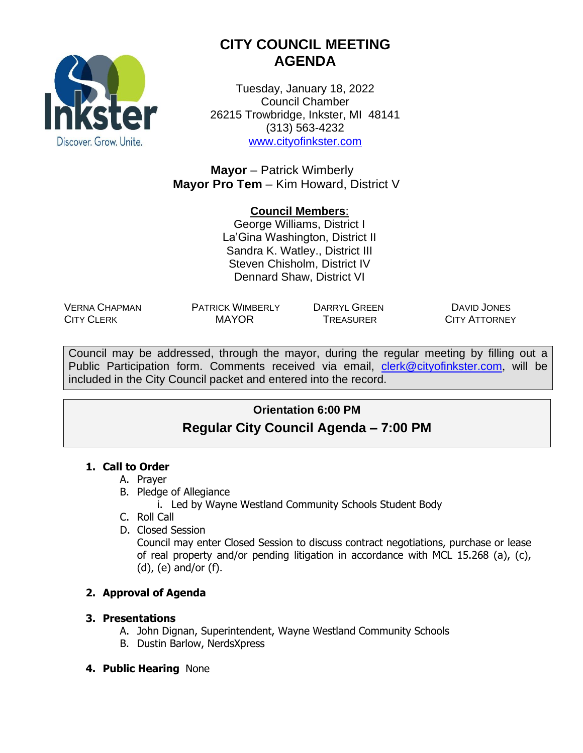

# **CITY COUNCIL MEETING AGENDA**

Tuesday, January 18, 2022 Council Chamber 26215 Trowbridge, Inkster, MI 48141 (313) 563-4232 [www.cityofinkster.com](http://www.cityofinkster.com/)

**Mayor** – Patrick Wimberly **Mayor Pro Tem** – Kim Howard, District V

## **Council Members**:

George Williams, District I La'Gina Washington, District II Sandra K. Watley., District III Steven Chisholm, District IV Dennard Shaw, District VI

VERNA CHAPMAN CITY CLERK

PATRICK WIMBERLY DARRYL GREEN

MAYOR TREASURER

DAVID JONES CITY ATTORNEY

Council may be addressed, through the mayor, during the regular meeting by filling out a Public Participation form. Comments received via email, [clerk@cityofinkster.com](mailto:clerk@cityofinkster.com), will be included in the City Council packet and entered into the record.

# **Orientation 6:00 PM Regular City Council Agenda – 7:00 PM**

### **1. Call to Order**

- A. Prayer
- B. Pledge of Allegiance
	- i. Led by Wayne Westland Community Schools Student Body
- C. Roll Call
- D. Closed Session

Council may enter Closed Session to discuss contract negotiations, purchase or lease of real property and/or pending litigation in accordance with MCL 15.268 (a), (c), (d), (e) and/or (f).

## **2. Approval of Agenda**

### **3. Presentations**

- A. John Dignan, Superintendent, Wayne Westland Community Schools
- B. Dustin Barlow, NerdsXpress
- **4. Public Hearing** None